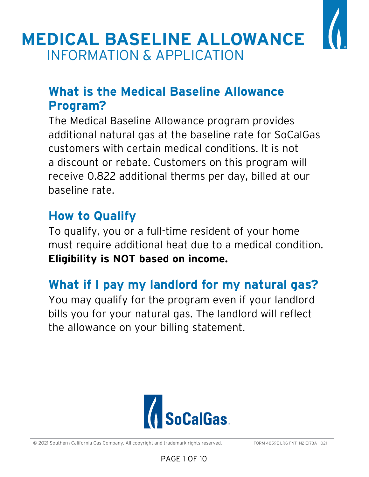

# **What is the Medical Baseline Allowance Program?**

The Medical Baseline Allowance program provides additional natural gas at the baseline rate for SoCalGas customers with certain medical conditions. It is not a discount or rebate. Customers on this program will receive 0.822 additional therms per day, billed at our baseline rate.

# **How to Qualify**

To qualify, you or a full-time resident of your home must require additional heat due to a medical condition. **Eligibility is NOT based on income.**

# **What if I pay my landlord for my natural gas?**

You may qualify for the program even if your landlord bills you for your natural gas. The landlord will reflect the allowance on your billing statement.



© 2021 Southern California Gas Company. All copyright and trademark rights reserved. FORM 4859E LRG FNT N21E173A 1021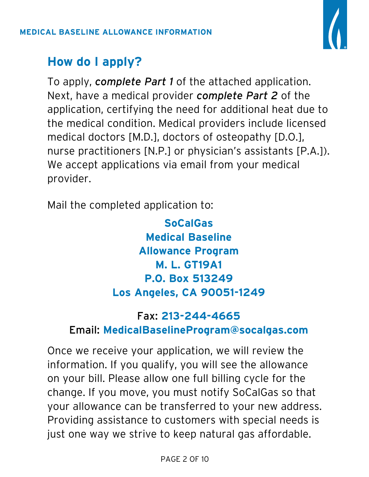

# **How do I apply?**

To apply, *complete Part 1* of the attached application. Next, have a medical provider *complete Part 2* of the application, certifying the need for additional heat due to the medical condition. Medical providers include licensed medical doctors [M.D.], doctors of osteopathy [D.O.], nurse practitioners [N.P.] or physician's assistants [P.A.]). We accept applications via email from your medical provider.

Mail the completed application to:

**SoCalGas Medical Baseline Allowance Program M. L. GT19A1 P.O. Box 513249 Los Angeles, CA 90051-1249**

## Fax: **213-244-4665**

## Email: **MedicalBaselineProgram@socalgas.com**

Once we receive your application, we will review the information. If you qualify, you will see the allowance on your bill. Please allow one full billing cycle for the change. If you move, you must notify SoCalGas so that your allowance can be transferred to your new address. Providing assistance to customers with special needs is just one way we strive to keep natural gas affordable.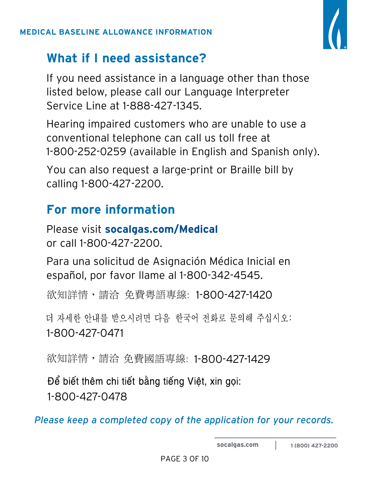

# **What if I need assistance?**

If you need assistance in a language other than those listed below, please call our Language Interpreter Service Line at 1-888-427-1345.

Hearing impaired customers who are unable to use a conventional telephone can call us toll free at 1-800-252-0259 (available in English and Spanish only).

You can also request a large-print or Braille bill by calling 1-800-427-2200.

# **For more information**

Please visit **socalgas.com/Medical** or call 1-800-427-2200.

Para una solicitud de Asignación Médica Inicial en español, por favor llame al 1-800-342-4545.

欲知詳情,請洽 免費粤語專線: 1-800-427-1420

더 자세한 안내를 받으시려면 다음 한국어 전화로 문의해 주십시오: 1-800-427-0471

欲知詳情,請洽 免費國語專線: 1-800-427-1429

Để biết thêm chi tiết bằng tiếng Việt, xin gọi: 1-800-427-0478

*Please keep a completed copy of the application for your records.*

**socalgas.com 1 (800) 427-2200**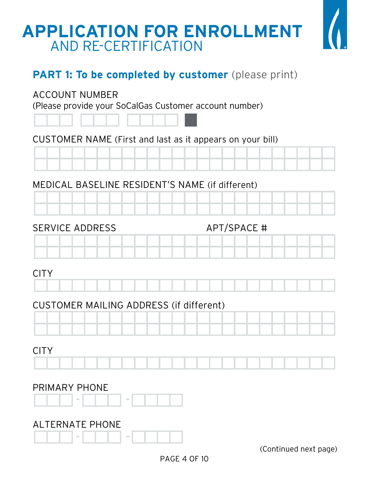# **APPLICATION FOR ENROLLMENT** AND RE-CERTIFICATION



## **PART 1: To be completed by customer** (please print)

### ACCOUNT NUMBER

(Please provide your SoCalGas Customer account number)



## CUSTOMER NAME (First and last as it appears on your bill)



## MEDICAL BASELINE RESIDENT'S NAME (if different)

|  |  | and the |  |
|--|--|---------|--|

## SERVICE ADDRESS APT/SPACE #

## CITY

## CUSTOMER MAILING ADDRESS (if different)



## CITY

| ____ |  |  |  |  |  |  |  |  |  |  |  |  |
|------|--|--|--|--|--|--|--|--|--|--|--|--|
|      |  |  |  |  |  |  |  |  |  |  |  |  |
|      |  |  |  |  |  |  |  |  |  |  |  |  |
|      |  |  |  |  |  |  |  |  |  |  |  |  |
|      |  |  |  |  |  |  |  |  |  |  |  |  |
|      |  |  |  |  |  |  |  |  |  |  |  |  |

## PRIMARY PHONE

## ALTERNATE PHONE



(Continued next page)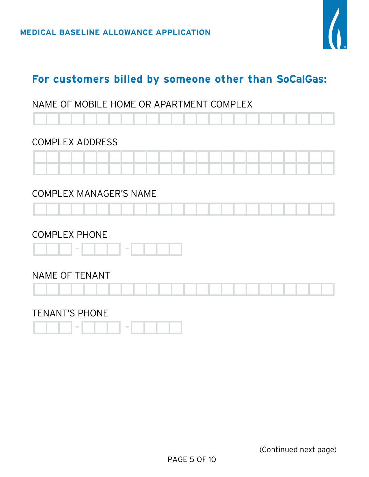

## **For customers billed by someone other than SoCalGas:**

#### NAME OF MOBILE HOME OR APARTMENT COMPLEX

#### COMPLEX ADDRESS



#### COMPLEX MANAGER'S NAME



#### COMPLEX PHONE



#### NAME OF TENANT



#### TENANT'S PHONE

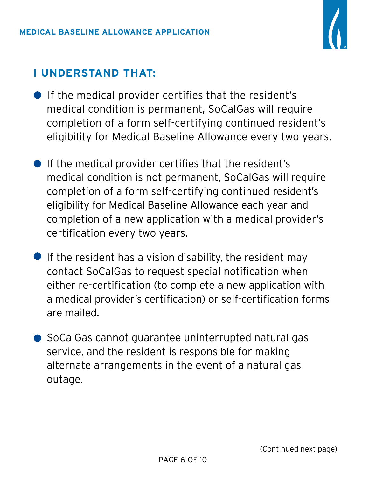

## **I UNDERSTAND THAT:**

- **•** If the medical provider certifies that the resident's medical condition is permanent, SoCalGas will require completion of a form self-certifying continued resident's eligibility for Medical Baseline Allowance every two years.
- If the medical provider certifies that the resident's medical condition is not permanent, SoCalGas will require completion of a form self-certifying continued resident's eligibility for Medical Baseline Allowance each year and completion of a new application with a medical provider's certification every two years.
- If the resident has a vision disability, the resident may contact SoCalGas to request special notification when either re-certification (to complete a new application with a medical provider's certification) or self-certification forms are mailed.
- **SoCalGas cannot guarantee uninterrupted natural gas** service, and the resident is responsible for making alternate arrangements in the event of a natural gas outage.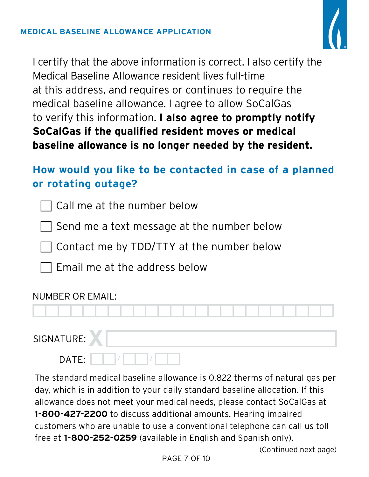

I certify that the above information is correct. I also certify the Medical Baseline Allowance resident lives full-time at this address, and requires or continues to require the medical baseline allowance. I agree to allow SoCalGas to verify this information. **I also agree to promptly notify SoCalGas if the qualified resident moves or medical baseline allowance is no longer needed by the resident.**

## **How would you like to be contacted in case of a planned or rotating outage?**

 $\sqcap$  Call me at the number below

 $\sqcap$  Send me a text message at the number below

Contact me by TDD/TTY at the number below

Email me at the address below

## NUMBER OR EMAIL:

## SIGNATURE:

| TURE: |  |  |  |  |  |  |
|-------|--|--|--|--|--|--|
| DATE: |  |  |  |  |  |  |

The standard medical baseline allowance is 0.822 therms of natural gas per day, which is in addition to your daily standard baseline allocation. If this allowance does not meet your medical needs, please contact SoCalGas at **1-800-427-2200** to discuss additional amounts. Hearing impaired customers who are unable to use a conventional telephone can call us toll free at **1-800-252-0259** (available in English and Spanish only).

(Continued next page)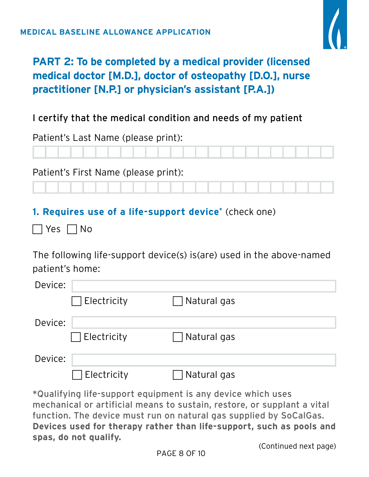

## **PART 2: To be completed by a medical provider (licensed medical doctor [M.D.], doctor of osteopathy [D.O.], nurse practitioner [N.P.] or physician's assistant [P.A.])**

## I certify that the medical condition and needs of my patient

Patient's Last Name (please print):

Patient's First Name (please print):

## **1. Requires use of a life-support device\*** (check one)

 $\sqsupset$  Yes  $\sqcap$  No

The following life-support device(s) is(are) used in the above-named patient's home:

| Device: |                    |                              |
|---------|--------------------|------------------------------|
|         | $\Box$ Electricity | √Natural gas<br>$\mathbf{L}$ |
| Device: |                    |                              |
|         | $\Box$ Electricity | $\Box$ Natural gas           |
| Device: |                    |                              |
|         | Electricity        | Natural gas                  |

\*Qualifying life-support equipment is any device which uses mechanical or artificial means to sustain, restore, or supplant a vital function. The device must run on natural gas supplied by SoCalGas. **Devices used for therapy rather than life-support, such as pools and spas, do not qualify.**

(Continued next page)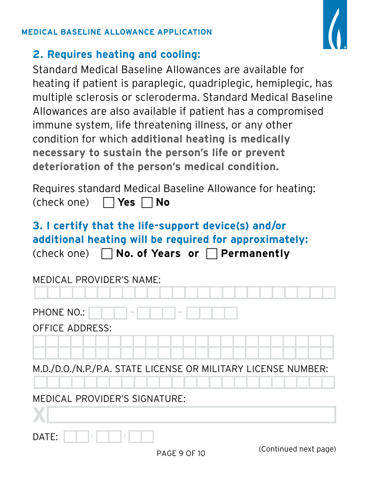#### **MEDICAL BASELINE ALLOWANCE APPLICATION**



## **2. Requires heating and cooling:**

Standard Medical Baseline Allowances are available for heating if patient is paraplegic, quadriplegic, hemiplegic, has multiple sclerosis or scleroderma. Standard Medical Baseline Allowances are also available if patient has a compromised immune system, life threatening illness, or any other condition for which **additional heating is medically necessary to sustain the person's life or prevent deterioration of the person's medical condition.**

| Requires standard Medical Baseline Allowance for heating: |  |
|-----------------------------------------------------------|--|
| (check one) $\Box$ Yes $\Box$ No                          |  |

# **3. I certify that the life-support device(s) and/or additional heating will be required for approximately:**

|  |  |  | (check one) $\Box$ No. of Years or $\Box$ Permanently |
|--|--|--|-------------------------------------------------------|
|--|--|--|-------------------------------------------------------|

| MEDICAL PROVIDER'S NAME:                                      |
|---------------------------------------------------------------|
|                                                               |
| <b>PHONE NO.:</b><br>$\sim$<br>$\sim$                         |
| <b>OFFICE ADDRESS:</b>                                        |
|                                                               |
| M.D./D.O./N.P./P.A. STATE LICENSE OR MILITARY LICENSE NUMBER: |
| MEDICAL PROVIDER'S SIGNATURE:                                 |
| DATE:                                                         |